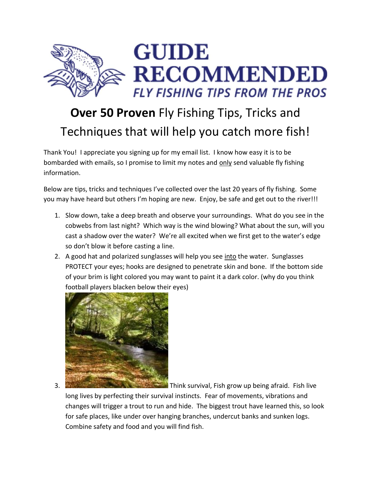

## **Over 50 Proven** Fly Fishing Tips, Tricks and Techniques that will help you catch more fish!

Thank You! I appreciate you signing up for my email list. I know how easy it is to be bombarded with emails, so I promise to limit my notes and only send valuable fly fishing information.

Below are tips, tricks and techniques I've collected over the last 20 years of fly fishing. Some you may have heard but others I'm hoping are new. Enjoy, be safe and get out to the river!!!

- 1. Slow down, take a deep breath and observe your surroundings. What do you see in the cobwebs from last night? Which way is the wind blowing? What about the sun, will you cast a shadow over the water? We're all excited when we first get to the water's edge so don't blow it before casting a line.
- 2. A good hat and polarized sunglasses will help you see into the water. Sunglasses PROTECT your eyes; hooks are designed to penetrate skin and bone. If the bottom side of your brim is light colored you may want to paint it a dark color. (why do you think football players blacken below their eyes)



3. Think survival, Fish grow up being afraid. Fish live long lives by perfecting their survival instincts. Fear of movements, vibrations and changes will trigger a trout to run and hide. The biggest trout have learned this, so look for safe places, like under over hanging branches, undercut banks and sunken logs. Combine safety and food and you will find fish.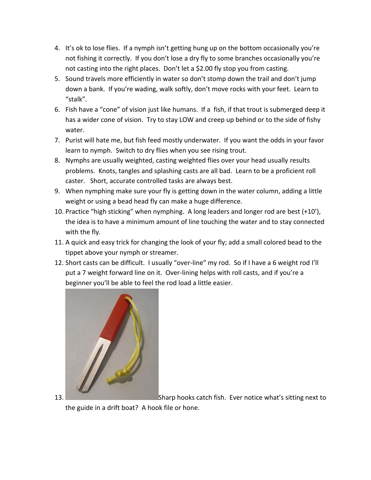- 4. It's ok to lose flies. If a nymph isn't getting hung up on the bottom occasionally you're not fishing it correctly. If you don't lose a dry fly to some branches occasionally you're not casting into the right places. Don't let a \$2.00 fly stop you from casting.
- 5. Sound travels more efficiently in water so don't stomp down the trail and don't jump down a bank. If you're wading, walk softly, don't move rocks with your feet. Learn to "stalk".
- 6. Fish have a "cone" of vision just like humans. If a fish, if that trout is submerged deep it has a wider cone of vision. Try to stay LOW and creep up behind or to the side of fishy water.
- 7. Purist will hate me, but fish feed mostly underwater. If you want the odds in your favor learn to nymph. Switch to dry flies when you see rising trout.
- 8. Nymphs are usually weighted, casting weighted flies over your head usually results problems. Knots, tangles and splashing casts are all bad. Learn to be a proficient roll caster. Short, accurate controlled tasks are always best.
- 9. When nymphing make sure your fly is getting down in the water column, adding a little weight or using a bead head fly can make a huge difference.
- 10. Practice "high sticking" when nymphing. A long leaders and longer rod are best (+10'), the idea is to have a minimum amount of line touching the water and to stay connected with the fly.
- 11. A quick and easy trick for changing the look of your fly; add a small colored bead to the tippet above your nymph or streamer.
- 12. Short casts can be difficult. I usually "over-line" my rod. So if I have a 6 weight rod I'll put a 7 weight forward line on it. Over-lining helps with roll casts, and if you're a beginner you'll be able to feel the rod load a little easier.



13. Sharp hooks catch fish. Ever notice what's sitting next to

the guide in a drift boat? A hook file or hone.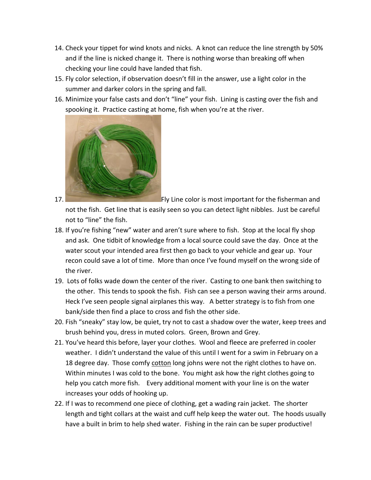- 14. Check your tippet for wind knots and nicks. A knot can reduce the line strength by 50% and if the line is nicked change it. There is nothing worse than breaking off when checking your line could have landed that fish.
- 15. Fly color selection, if observation doesn't fill in the answer, use a light color in the summer and darker colors in the spring and fall.
- 16. Minimize your false casts and don't "line" your fish. Lining is casting over the fish and spooking it. Practice casting at home, fish when you're at the river.



17. Fly Line color is most important for the fisherman and

not the fish. Get line that is easily seen so you can detect light nibbles. Just be careful not to "line" the fish.

- 18. If you're fishing "new" water and aren't sure where to fish. Stop at the local fly shop and ask. One tidbit of knowledge from a local source could save the day. Once at the water scout your intended area first then go back to your vehicle and gear up. Your recon could save a lot of time. More than once I've found myself on the wrong side of the river.
- 19. Lots of folks wade down the center of the river. Casting to one bank then switching to the other. This tends to spook the fish. Fish can see a person waving their arms around. Heck I've seen people signal airplanes this way. A better strategy is to fish from one bank/side then find a place to cross and fish the other side.
- 20. Fish "sneaky" stay low, be quiet, try not to cast a shadow over the water, keep trees and brush behind you, dress in muted colors. Green, Brown and Grey.
- 21. You've heard this before, layer your clothes. Wool and fleece are preferred in cooler weather. I didn't understand the value of this until I went for a swim in February on a 18 degree day. Those comfy cotton long johns were not the right clothes to have on. Within minutes I was cold to the bone. You might ask how the right clothes going to help you catch more fish. Every additional moment with your line is on the water increases your odds of hooking up.
- 22. If I was to recommend one piece of clothing, get a wading rain jacket. The shorter length and tight collars at the waist and cuff help keep the water out. The hoods usually have a built in brim to help shed water. Fishing in the rain can be super productive!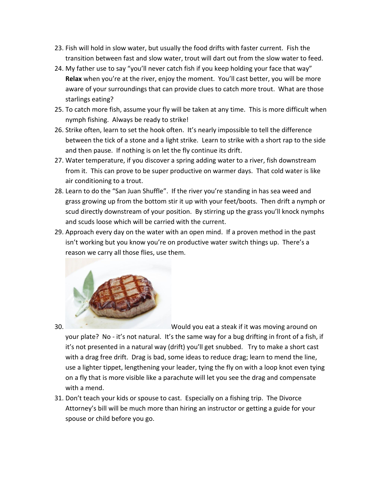- 23. Fish will hold in slow water, but usually the food drifts with faster current. Fish the transition between fast and slow water, trout will dart out from the slow water to feed.
- 24. My father use to say "you'll never catch fish if you keep holding your face that way" **Relax** when you're at the river, enjoy the moment. You'll cast better, you will be more aware of your surroundings that can provide clues to catch more trout. What are those starlings eating?
- 25. To catch more fish, assume your fly will be taken at any time. This is more difficult when nymph fishing. Always be ready to strike!
- 26. Strike often, learn to set the hook often. It's nearly impossible to tell the difference between the tick of a stone and a light strike. Learn to strike with a short rap to the side and then pause. If nothing is on let the fly continue its drift.
- 27. Water temperature, if you discover a spring adding water to a river, fish downstream from it. This can prove to be super productive on warmer days. That cold water is like air conditioning to a trout.
- 28. Learn to do the "San Juan Shuffle". If the river you're standing in has sea weed and grass growing up from the bottom stir it up with your feet/boots. Then drift a nymph or scud directly downstream of your position. By stirring up the grass you'll knock nymphs and scuds loose which will be carried with the current.
- 29. Approach every day on the water with an open mind. If a proven method in the past isn't working but you know you're on productive water switch things up. There's a reason we carry all those flies, use them.



30. Would you eat a steak if it was moving around on

your plate? No - it's not natural. It's the same way for a bug drifting in front of a fish, if it's not presented in a natural way (drift) you'll get snubbed. Try to make a short cast with a drag free drift. Drag is bad, some ideas to reduce drag; learn to mend the line, use a lighter tippet, lengthening your leader, tying the fly on with a loop knot even tying on a fly that is more visible like a parachute will let you see the drag and compensate with a mend.

31. Don't teach your kids or spouse to cast. Especially on a fishing trip. The Divorce Attorney's bill will be much more than hiring an instructor or getting a guide for your spouse or child before you go.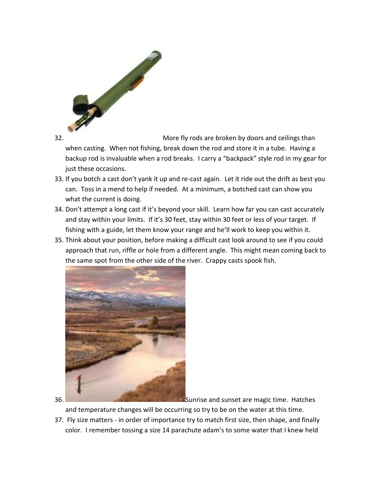

32. More fly rods are broken by doors and ceilings than

when casting. When not fishing, break down the rod and store it in a tube. Having a backup rod is invaluable when a rod breaks. I carry a "backpack" style rod in my gear for just these occasions.

- 33. If you botch a cast don't yank it up and re-cast again. Let it ride out the drift as best you can. Toss in a mend to help if needed. At a minimum, a botched cast can show you what the current is doing.
- 34. Don't attempt a long cast if it's beyond your skill. Learn how far you can cast accurately and stay within your limits. If it's 30 feet, stay within 30 feet or less of your target. If fishing with a guide, let them know your range and he'll work to keep you within it.
- 35. Think about your position, before making a difficult cast look around to see if you could approach that run, riffle or hole from a different angle. This might mean coming back to the same spot from the other side of the river. Crappy casts spook fish.



36. Sunrise and sunset are magic time. Hatches

and temperature changes will be occurring so try to be on the water at this time.

37. Fly size matters - in order of importance try to match first size, then shape, and finally color. I remember tossing a size 14 parachute adam's to some water that I knew held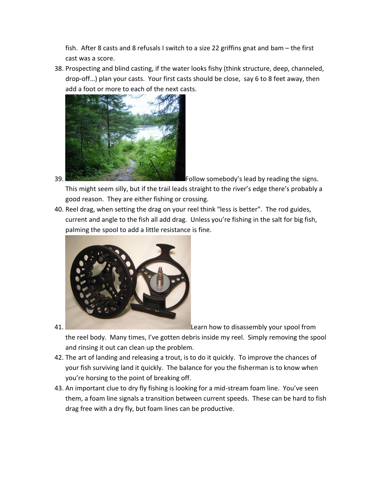fish. After 8 casts and 8 refusals I switch to a size 22 griffins gnat and bam – the first cast was a score.

38. Prospecting and blind casting, if the water looks fishy (think structure, deep, channeled, drop-off…) plan your casts. Your first casts should be close, say 6 to 8 feet away, then add a foot or more to each of the next casts.



39. Follow somebody's lead by reading the signs.

This might seem silly, but if the trail leads straight to the river's edge there's probably a good reason. They are either fishing or crossing.

40. Reel drag, when setting the drag on your reel think "less is better". The rod guides, current and angle to the fish all add drag. Unless you're fishing in the salt for big fish, palming the spool to add a little resistance is fine.



41. Learn how to disassembly your spool from

the reel body. Many times, I've gotten debris inside my reel. Simply removing the spool and rinsing it out can clean up the problem.

- 42. The art of landing and releasing a trout, is to do it quickly. To improve the chances of your fish surviving land it quickly. The balance for you the fisherman is to know when you're horsing to the point of breaking off.
- 43. An important clue to dry fly fishing is looking for a mid-stream foam line. You've seen them, a foam line signals a transition between current speeds. These can be hard to fish drag free with a dry fly, but foam lines can be productive.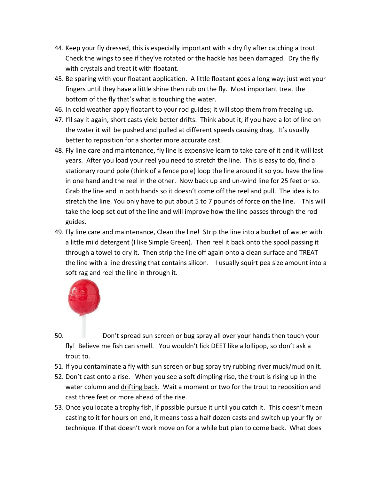- 44. Keep your fly dressed, this is especially important with a dry fly after catching a trout. Check the wings to see if they've rotated or the hackle has been damaged. Dry the fly with crystals and treat it with floatant.
- 45. Be sparing with your floatant application. A little floatant goes a long way; just wet your fingers until they have a little shine then rub on the fly. Most important treat the bottom of the fly that's what is touching the water.
- 46. In cold weather apply floatant to your rod guides; it will stop them from freezing up.
- 47. I'll say it again, short casts yield better drifts. Think about it, if you have a lot of line on the water it will be pushed and pulled at different speeds causing drag. It's usually better to reposition for a shorter more accurate cast.
- 48. Fly line care and maintenance, fly line is expensive learn to take care of it and it will last years. After you load your reel you need to stretch the line. This is easy to do, find a stationary round pole (think of a fence pole) loop the line around it so you have the line in one hand and the reel in the other. Now back up and un-wind line for 25 feet or so. Grab the line and in both hands so it doesn't come off the reel and pull. The idea is to stretch the line. You only have to put about 5 to 7 pounds of force on the line. This will take the loop set out of the line and will improve how the line passes through the rod guides.
- 49. Fly line care and maintenance, Clean the line! Strip the line into a bucket of water with a little mild detergent (I like Simple Green). Then reel it back onto the spool passing it through a towel to dry it. Then strip the line off again onto a clean surface and TREAT the line with a line dressing that contains silicon. I usually squirt pea size amount into a soft rag and reel the line in through it.



- 50. Don't spread sun screen or bug spray all over your hands then touch your fly! Believe me fish can smell. You wouldn't lick DEET like a lollipop, so don't ask a trout to.
- 51. If you contaminate a fly with sun screen or bug spray try rubbing river muck/mud on it.
- 52. Don't cast onto a rise. When you see a soft dimpling rise, the trout is rising up in the water column and drifting back. Wait a moment or two for the trout to reposition and cast three feet or more ahead of the rise.
- 53. Once you locate a trophy fish, if possible pursue it until you catch it. This doesn't mean casting to it for hours on end, it means toss a half dozen casts and switch up your fly or technique. If that doesn't work move on for a while but plan to come back. What does